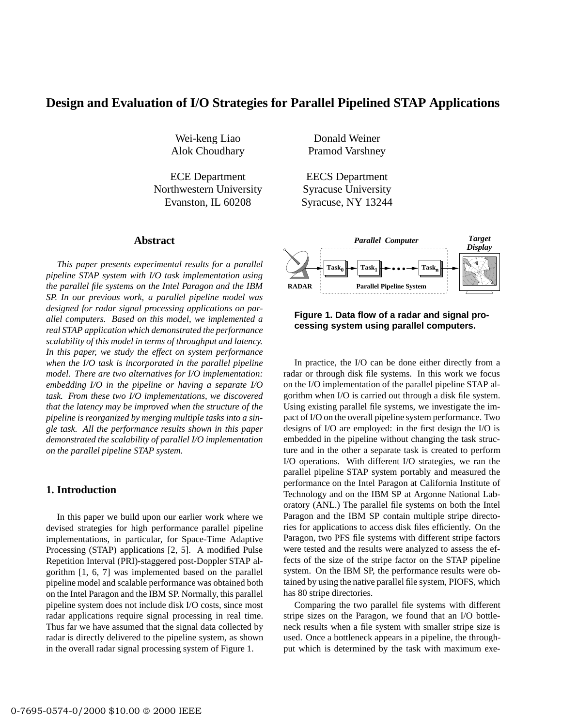# **Design and Evaluation of I/O Strategies for Parallel Pipelined STAP Applications**

Wei-keng Liao Alok Choudhary

ECE Department Northwestern University Evanston, IL 60208

#### **Abstract**

*This paper presents experimental results for a parallel pipeline STAP system with I/O task implementation using the parallel file systems on the Intel Paragon and the IBM SP. In our previous work, a parallel pipeline model was designed for radar signal processing applications on parallel computers. Based on this model, we implemented a real STAP application which demonstrated the performance scalability of this model in terms of throughput and latency. In this paper, we study the effect on system performance when the I/O task is incorporated in the parallel pipeline model. There are two alternatives for I/O implementation: embedding I/O in the pipeline or having a separate I/O task. From these two I/O implementations, we discovered that the latency may be improved when the structure of the pipeline is reorganized by merging multiple tasks into a single task. All the performance results shown in this paper demonstrated the scalability of parallel I/O implementation on the parallel pipeline STAP system.*

## **1. Introduction**

In this paper we build upon our earlier work where we devised strategies for high performance parallel pipeline implementations, in particular, for Space-Time Adaptive Processing (STAP) applications [2, 5]. A modified Pulse Repetition Interval (PRI)-staggered post-Doppler STAP algorithm [1, 6, 7] was implemented based on the parallel pipeline model and scalable performance was obtained both on the Intel Paragon and the IBM SP. Normally, this parallel pipeline system does not include disk I/O costs, since most radar applications require signal processing in real time. Thus far we have assumed that the signal data collected by radar is directly delivered to the pipeline system, as shown in the overall radar signal processing system of Figure 1.

Donald Weiner Pramod Varshney

EECS Department Syracuse University Syracuse, NY 13244



**Figure 1. Data flow of a radar and signal processing system using parallel computers.**

In practice, the I/O can be done either directly from a radar or through disk file systems. In this work we focus on the I/O implementation of the parallel pipeline STAP algorithm when I/O is carried out through a disk file system. Using existing parallel file systems, we investigate the impact of I/O on the overall pipeline system performance. Two designs of I/O are employed: in the first design the I/O is embedded in the pipeline without changing the task structure and in the other a separate task is created to perform I/O operations. With different I/O strategies, we ran the parallel pipeline STAP system portably and measured the performance on the Intel Paragon at California Institute of Technology and on the IBM SP at Argonne National Laboratory (ANL.) The parallel file systems on both the Intel Paragon and the IBM SP contain multiple stripe directories for applications to access disk files efficiently. On the Paragon, two PFS file systems with different stripe factors were tested and the results were analyzed to assess the effects of the size of the stripe factor on the STAP pipeline system. On the IBM SP, the performance results were obtained by using the native parallel file system, PIOFS, which has 80 stripe directories.

Comparing the two parallel file systems with different stripe sizes on the Paragon, we found that an I/O bottleneck results when a file system with smaller stripe size is used. Once a bottleneck appears in a pipeline, the throughput which is determined by the task with maximum exe-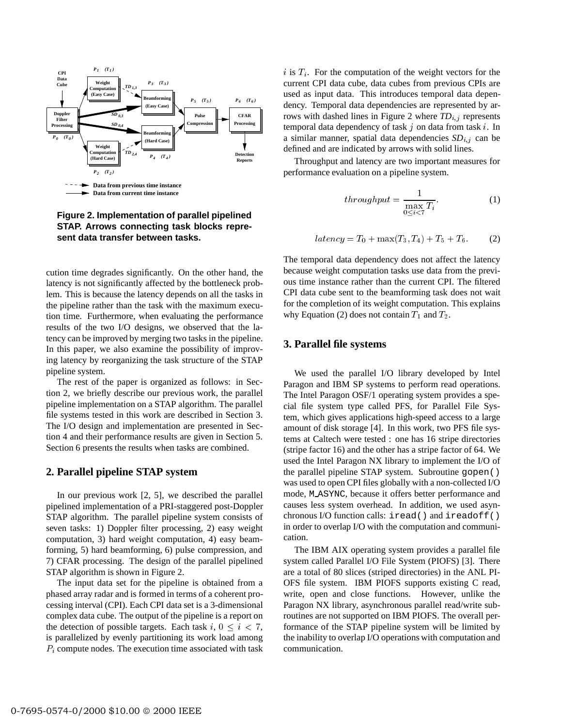

#### **Figure 2. Implementation of parallel pipelined STAP. Arrows connecting task blocks represent data transfer between tasks.**

cution time degrades significantly. On the other hand, the latency is not significantly affected by the bottleneck problem. This is because the latency depends on all the tasks in the pipeline rather than the task with the maximum execution time. Furthermore, when evaluating the performance results of the two I/O designs, we observed that the latency can be improved by merging two tasks in the pipeline. In this paper, we also examine the possibility of improving latency by reorganizing the task structure of the STAP pipeline system.

The rest of the paper is organized as follows: in Section 2, we briefly describe our previous work, the parallel pipeline implementation on a STAP algorithm. The parallel file systems tested in this work are described in Section 3. The I/O design and implementation are presented in Section 4 and their performance results are given in Section 5. Section 6 presents the results when tasks are combined.

#### **2. Parallel pipeline STAP system**

In our previous work [2, 5], we described the parallel pipelined implementation of a PRI-staggered post-Doppler STAP algorithm. The parallel pipeline system consists of seven tasks: 1) Doppler filter processing, 2) easy weight computation, 3) hard weight computation, 4) easy beamforming, 5) hard beamforming, 6) pulse compression, and 7) CFAR processing. The design of the parallel pipelined STAP algorithm is shown in Figure 2.

The input data set for the pipeline is obtained from a phased array radar and is formed in terms of a coherent processing interval (CPI). Each CPI data set is a 3-dimensional complex data cube. The output of the pipeline is a report on the detection of possible targets. Each task i,  $0 \le i \le 7$ , is parallelized by evenly partitioning its work load among  $P_i$  compute nodes. The execution time associated with task

i is  $T_i$ . For the computation of the weight vectors for the current CPI data cube, data cubes from previous CPIs are used as input data. This introduces temporal data dependency. Temporal data dependencies are represented by arrows with dashed lines in Figure 2 where  $TD_{i,j}$  represents temporal data dependency of task  $j$  on data from task  $i$ . In a similar manner, spatial data dependencies  $SD_{i,j}$  can be defined and are indicated by arrows with solid lines.

Throughput and latency are two important measures for performance evaluation on a pipeline system.

$$
throughput = \frac{1}{\max_{0 \le i \le 7} T_i}.
$$
 (1)

$$
latency = T_0 + \max(T_3, T_4) + T_5 + T_6. \tag{2}
$$

The temporal data dependency does not affect the latency because weight computation tasks use data from the previous time instance rather than the current CPI. The filtered CPI data cube sent to the beamforming task does not wait for the completion of its weight computation. This explains why Equation (2) does not contain  $T_1$  and  $T_2$ .

#### **3. Parallel file systems**

We used the parallel I/O library developed by Intel Paragon and IBM SP systems to perform read operations. The Intel Paragon OSF/1 operating system provides a special file system type called PFS, for Parallel File System, which gives applications high-speed access to a large amount of disk storage [4]. In this work, two PFS file systems at Caltech were tested : one has 16 stripe directories (stripe factor 16) and the other has a stripe factor of 64. We used the Intel Paragon NX library to implement the I/O of the parallel pipeline STAP system. Subroutine gopen() was used to open CPI files globally with a non-collected I/O mode, M ASYNC, because it offers better performance and causes less system overhead. In addition, we used asynchronous I/O function calls: iread() and ireadoff() in order to overlap I/O with the computation and communication.

The IBM AIX operating system provides a parallel file system called Parallel I/O File System (PIOFS) [3]. There are a total of 80 slices (striped directories) in the ANL PI-OFS file system. IBM PIOFS supports existing C read, write, open and close functions. However, unlike the Paragon NX library, asynchronous parallel read/write subroutines are not supported on IBM PIOFS. The overall performance of the STAP pipeline system will be limited by the inability to overlap I/O operations with computation and communication.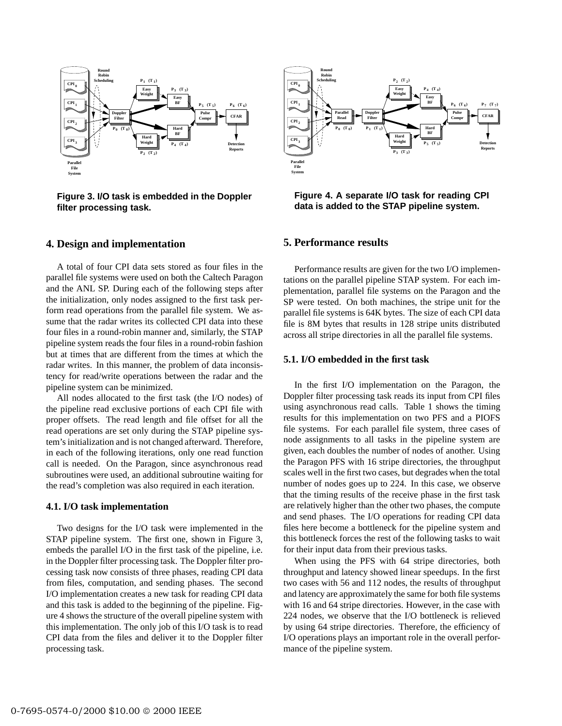

**Figure 3. I/O task is embedded in the Doppler filter processing task.**

#### **Scheduling Doppler Filter Reports Detection Round Hard Weight Parallel Easy File Weight**<br> **BF**<br> **BF 3 Hard CPI <sup>1</sup> CPI Pulse Compr <sup>0</sup> CPI CFAR Robin System Parallel Read**  $\mathbf{P}_0$  (T<sub>0</sub>)  $\mathbf{P}_1$  (T<sub>1</sub>) **P2 2 (T )**  $P_3$  (T<sub>3</sub>) **P4 4 (T ) P5 5 (T ) P6 6 (T ) P7 7 (T ) BF CPI**

**Figure 4. A separate I/O task for reading CPI data is added to the STAP pipeline system.**

#### **4. Design and implementation**

A total of four CPI data sets stored as four files in the parallel file systems were used on both the Caltech Paragon and the ANL SP. During each of the following steps after the initialization, only nodes assigned to the first task perform read operations from the parallel file system. We assume that the radar writes its collected CPI data into these four files in a round-robin manner and, similarly, the STAP pipeline system reads the four files in a round-robin fashion but at times that are different from the times at which the radar writes. In this manner, the problem of data inconsistency for read/write operations between the radar and the pipeline system can be minimized.

All nodes allocated to the first task (the I/O nodes) of the pipeline read exclusive portions of each CPI file with proper offsets. The read length and file offset for all the read operations are set only during the STAP pipeline system's initialization and is not changed afterward. Therefore, in each of the following iterations, only one read function call is needed. On the Paragon, since asynchronous read subroutines were used, an additional subroutine waiting for the read's completion was also required in each iteration.

#### **4.1. I/O task implementation**

Two designs for the I/O task were implemented in the STAP pipeline system. The first one, shown in Figure 3, embeds the parallel I/O in the first task of the pipeline, i.e. in the Doppler filter processing task. The Doppler filter processing task now consists of three phases, reading CPI data from files, computation, and sending phases. The second I/O implementation creates a new task for reading CPI data and this task is added to the beginning of the pipeline. Figure 4 shows the structure of the overall pipeline system with this implementation. The only job of this I/O task is to read CPI data from the files and deliver it to the Doppler filter processing task.

### **5. Performance results**

Performance results are given for the two I/O implementations on the parallel pipeline STAP system. For each implementation, parallel file systems on the Paragon and the SP were tested. On both machines, the stripe unit for the parallel file systems is 64K bytes. The size of each CPI data file is 8M bytes that results in 128 stripe units distributed across all stripe directories in all the parallel file systems.

#### **5.1. I/O embedded in the first task**

In the first I/O implementation on the Paragon, the Doppler filter processing task reads its input from CPI files using asynchronous read calls. Table 1 shows the timing results for this implementation on two PFS and a PIOFS file systems. For each parallel file system, three cases of node assignments to all tasks in the pipeline system are given, each doubles the number of nodes of another. Using the Paragon PFS with 16 stripe directories, the throughput scales well in the first two cases, but degrades when the total number of nodes goes up to 224. In this case, we observe that the timing results of the receive phase in the first task are relatively higher than the other two phases, the compute and send phases. The I/O operations for reading CPI data files here become a bottleneck for the pipeline system and this bottleneck forces the rest of the following tasks to wait for their input data from their previous tasks.

When using the PFS with 64 stripe directories, both throughput and latency showed linear speedups. In the first two cases with 56 and 112 nodes, the results of throughput and latency are approximately the same for both file systems with 16 and 64 stripe directories. However, in the case with 224 nodes, we observe that the I/O bottleneck is relieved by using 64 stripe directories. Therefore, the efficiency of I/O operations plays an important role in the overall performance of the pipeline system.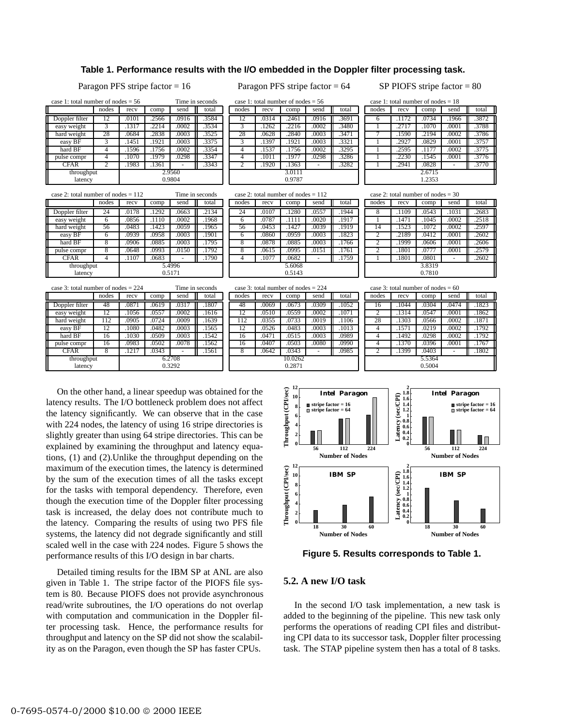#### **Table 1. Performance results with the I/O embedded in the Doppler filter processing task.**

Paragon PFS stripe factor = 16

Paragon PFS stripe factor  $= 64$ 

SP PIOFS stripe factor  $= 80$ 

| case 1: total number of nodes $= 56$ |       |        | Time in seconds |       |       |  |
|--------------------------------------|-------|--------|-----------------|-------|-------|--|
|                                      | nodes | recy   | comp            | send  | total |  |
| Doppler filter                       | 12    | .0101  | .2566           | .0916 | .3584 |  |
| easy weight                          | 3     | .1317  | .2214           | .0002 | .3534 |  |
| hard weight                          | 28    | .0684  | .2838           | .0003 | .3525 |  |
| easy BF                              | 3     | .1451  | .1921           | .0003 | .3375 |  |
| hard BF                              | 4     | .1596  | .1756           | .0002 | .3354 |  |
| pulse compr                          | 4     | .1070  | .1979           | .0298 | .3347 |  |
| <b>CFAR</b>                          | 2     | .1983  | .1361           |       | .3343 |  |
| throughput                           |       | 2.9560 |                 |       |       |  |
| latency                              |       | 0.9804 |                 |       |       |  |

| case 2: total number of nodes $= 112$ | Time in seconds |        |       |       |       |  |
|---------------------------------------|-----------------|--------|-------|-------|-------|--|
|                                       | nodes           | recy   | comp  | send  | total |  |
| Doppler filter                        | 24              | .0178  | .1292 | .0663 | .2134 |  |
| easy weight                           | 6               | .0856  | .1110 | .0002 | .1968 |  |
| hard weight                           | 56              | .0483  | .1423 | .0059 | .1965 |  |
| easy $BF$                             | 6               | .0939  | .0958 | .0003 | .1901 |  |
| hard BF                               | 8               | .0906  | .0885 | .0003 | .1795 |  |
| pulse compr                           | 8               | .0648  | .0993 | .0150 | .1792 |  |
| <b>CFAR</b>                           |                 | .1107  | .0683 |       | .1790 |  |
| throughput                            |                 | 5.4996 |       |       |       |  |
| latency                               |                 | 0.5171 |       |       |       |  |

| case 3: total number of nodes $= 224$ |       |        |       |                 |  |  |
|---------------------------------------|-------|--------|-------|-----------------|--|--|
| nodes                                 | recy  | comp   | send  | total           |  |  |
| 48                                    | .0871 | .0619  | .0317 | .1807           |  |  |
| 12                                    | .1056 | .0557  | .0002 | .1616           |  |  |
| 112                                   | .0905 | .0724  | .0009 | .1639           |  |  |
| 12                                    | .1080 | .0482  | .0003 | .1565           |  |  |
| 16                                    | .1030 | .0509  | .0003 | .1542           |  |  |
| 16                                    | .0983 | .0502  | .0078 | .1562           |  |  |
| 8                                     | .1217 | .0343  |       | .1561           |  |  |
| throughput                            |       | 6.2708 |       |                 |  |  |
| latency                               |       | 0.3292 |       |                 |  |  |
|                                       |       |        |       | Time in seconds |  |  |

case 1: total number of nodes =  $56$ <br>nodes  $\sqrt{\frac{1}{2}}$  comp  $\sqrt{\frac{1}{2}}$  send recv comp send total 12 .0314 .2461 .0916 .3691<br>3 .1262 .2216 .0002 .3480 3 .1262 .2216 .0002 .3480<br>28 .0628 .2840 .0003 .3471 28 .0628 .2840 .0003 .3471<br>3 .1397 .1921 .0003 .3321 3 .1397 .1921 .0003 .3321 4 .1537 .1756 .0002 .3295 4 .1011 .1977 .0298 .3286 1920 .1363 - .3282 3.0111 0.9787

|        | case 2: total number of nodes $= 112$ |        |       |       |  |  |  |
|--------|---------------------------------------|--------|-------|-------|--|--|--|
| nodes  | recv                                  | comp   | send  | total |  |  |  |
| 24     | .0107                                 | .1280  | .0557 | .1944 |  |  |  |
| 6      | .0787                                 | .1111  | .0020 | .1917 |  |  |  |
| 56     | .0453                                 | .1427  | .0039 | .1919 |  |  |  |
| 6      | .0860                                 | .0959  | .0003 | .1823 |  |  |  |
| 8      | .0878                                 | .0885  | .0003 | .1766 |  |  |  |
| 8      | .0615                                 | .0995  | .0151 | .1761 |  |  |  |
| 4      | .1077                                 | .0682  |       | .1759 |  |  |  |
|        |                                       | 5.6068 |       |       |  |  |  |
| 0.5143 |                                       |        |       |       |  |  |  |

| case 3: total number of nodes $= 224$ |       |                    |       |       |  |  |
|---------------------------------------|-------|--------------------|-------|-------|--|--|
| nodes                                 | recy  | comp               | send  | total |  |  |
| 48                                    | .0069 | .0673              | .0309 | .1052 |  |  |
| 12                                    | .0510 | .0559              | .0002 | .1071 |  |  |
| 112                                   | .0355 | .0733              | .0019 | .1106 |  |  |
| 12.                                   | .0526 | .0483              | .0003 | .1013 |  |  |
| 16                                    | .0471 | $.051\overline{5}$ | .0003 | .0989 |  |  |
| 16                                    | .0407 | .0503              | .0080 | .0990 |  |  |
| 8                                     | .0642 | .0343              |       | .0985 |  |  |
|                                       |       | 10.0262            |       |       |  |  |
|                                       |       | 0.2871             |       |       |  |  |

| case 1: total number of nodes $= 18$ |       |        |       |       |  |  |  |
|--------------------------------------|-------|--------|-------|-------|--|--|--|
| nodes                                | recv  | comp   | send  | total |  |  |  |
| 6                                    | .1172 | .0734  | .1966 | .3872 |  |  |  |
|                                      | .2717 | .1070  | .0001 | .3788 |  |  |  |
|                                      | .1590 | .2194  | .0002 | .3786 |  |  |  |
|                                      | .2927 | .0829  | .0001 | .3757 |  |  |  |
|                                      | .2595 | .1177  | .0002 | .3775 |  |  |  |
|                                      | .2230 | .1545  | .0001 | .3776 |  |  |  |
|                                      | .2941 | .0828  |       | .3770 |  |  |  |
|                                      |       | 2.6715 |       |       |  |  |  |
| 1.2353                               |       |        |       |       |  |  |  |

| case 2: total number of nodes $=$ 30 |       |       |       |       |  |  |
|--------------------------------------|-------|-------|-------|-------|--|--|
| nodes                                | recv  | comp  | send  | total |  |  |
| 8                                    | .1109 | .0543 | .1031 | .2683 |  |  |
|                                      | .1471 | .1045 | .0002 | .2518 |  |  |
| 14                                   | .1523 | .1072 | .0002 | .2597 |  |  |
| 2                                    | .2189 | .0412 | .0001 | .2602 |  |  |
| $\overline{2}$                       | .1999 | .0606 | .0001 | .2606 |  |  |
| $\overline{2}$                       | .1801 | .0777 | .0001 | .2579 |  |  |
|                                      | .1801 | .0801 |       | .2602 |  |  |
| 3.8319                               |       |       |       |       |  |  |
| 0.7810                               |       |       |       |       |  |  |

|                | case 3: total number of nodes $= 60$ |       |        |       |       |  |  |  |
|----------------|--------------------------------------|-------|--------|-------|-------|--|--|--|
|                | nodes                                | recv  | comp   | send  | total |  |  |  |
| $\overline{2}$ | 16                                   | .1044 | .0304  | .0474 | .1823 |  |  |  |
| ī              | $\overline{2}$                       | .1314 | .0547  | .0001 | .1862 |  |  |  |
| 6              | 28                                   | .1303 | .0566  | .0002 | .1871 |  |  |  |
| 3              | 4                                    | .1571 | .0219  | .0002 | .1792 |  |  |  |
| 9              | 4                                    | .1492 | .0298  | .0002 | .1792 |  |  |  |
| 0              | $\overline{4}$                       | .1370 | .0396  | .0001 | .1767 |  |  |  |
| 5              | $\overline{c}$                       | .1399 | .0403  |       | .1802 |  |  |  |
|                |                                      |       | 5.5364 |       |       |  |  |  |
|                |                                      |       | 0.5004 |       |       |  |  |  |

On the other hand, a linear speedup was obtained for the latency results. The I/O bottleneck problem does not affect the latency significantly. We can observe that in the case with 224 nodes, the latency of using 16 stripe directories is slightly greater than using 64 stripe directories. This can be explained by examining the throughput and latency equations, (1) and (2).Unlike the throughput depending on the maximum of the execution times, the latency is determined by the sum of the execution times of all the tasks except for the tasks with temporal dependency. Therefore, even though the execution time of the Doppler filter processing task is increased, the delay does not contribute much to the latency. Comparing the results of using two PFS file systems, the latency did not degrade significantly and still scaled well in the case with 224 nodes. Figure 5 shows the performance results of this I/O design in bar charts.

Detailed timing results for the IBM SP at ANL are also given in Table 1. The stripe factor of the PIOFS file system is 80. Because PIOFS does not provide asynchronous read/write subroutines, the I/O operations do not overlap with computation and communication in the Doppler filter processing task. Hence, the performance results for throughput and latency on the SP did not show the scalability as on the Paragon, even though the SP has faster CPUs.



**Figure 5. Results corresponds to Table 1.**

#### **5.2. A new I/O task**

In the second I/O task implementation, a new task is added to the beginning of the pipeline. This new task only performs the operations of reading CPI files and distributing CPI data to its successor task, Doppler filter processing task. The STAP pipeline system then has a total of 8 tasks.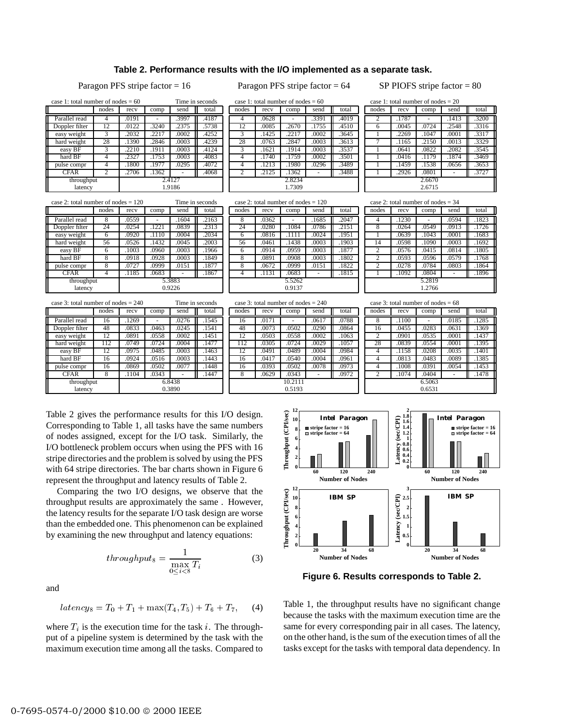#### **Table 2. Performance results with the I/O implemented as a separate task.**

#### Paragon PFS stripe factor = 16

Paragon PFS stripe factor = 64

SP PIOFS stripe factor  $= 80$ 

| case 1: total number of nodes = $60$ |                |        | Time in seconds |       |       |  |
|--------------------------------------|----------------|--------|-----------------|-------|-------|--|
|                                      | nodes          | recy   | comp            | send  | total |  |
| Parallel read                        | 4              | .0191  |                 | .3997 | .4187 |  |
| Doppler filter                       | 12             | .0122  | .3240           | .2375 | .5738 |  |
| easy weight                          | 3              | .2032  | .2217           | .0002 | .4252 |  |
| hard weight                          | 28             | .1390  | .2846           | .0003 | .4239 |  |
| easy BF                              | 3              | .2210  | .1911           | .0003 | .4124 |  |
| hard BF                              | 4              | .2327  | .1753           | .0003 | .4083 |  |
| pulse compr                          | 4              | .1800  | .1977           | .0295 | .4072 |  |
| <b>CFAR</b>                          | $\mathfrak{D}$ | .2706  | .1362           |       | .4068 |  |
| throughput                           |                | 2.4127 |                 |       |       |  |
| latency                              |                | 1.9186 |                 |       |       |  |

| case 1: total number of nodes $= 60$<br>total<br>nodes<br>send<br>recy<br>comp |       |        |       |       |  |  |
|--------------------------------------------------------------------------------|-------|--------|-------|-------|--|--|
|                                                                                |       |        |       |       |  |  |
| 4                                                                              | .0628 |        | .3391 | .4019 |  |  |
| 12                                                                             | .0085 | .2670  | .1755 | .4510 |  |  |
| 3                                                                              | .1425 | .2217  | .0002 | .3645 |  |  |
| 28                                                                             | .0763 | .2847  | .0003 | .3613 |  |  |
| 3                                                                              | .1621 | .1914  | .0003 | .3537 |  |  |
| 4                                                                              | .1740 | .1759  | .0002 | .3501 |  |  |
| 4                                                                              | .1213 | .1980  | .0296 | .3489 |  |  |
| $\mathfrak{D}$                                                                 | .2125 | .1362  |       | .3488 |  |  |
|                                                                                |       | 2.8234 |       |       |  |  |
|                                                                                |       | 1.7309 |       |       |  |  |

| case 1: total number of nodes $= 20$ |       |                |       |       |  |  |
|--------------------------------------|-------|----------------|-------|-------|--|--|
| nodes                                | recy  | comp           | send  | total |  |  |
| $\overline{c}$                       | .1787 |                | .1413 | .3200 |  |  |
| 6                                    | .0045 | .0724          | .2548 | .3316 |  |  |
|                                      | .2269 | .1047          | .0001 | .3317 |  |  |
| 7                                    | .1165 | .2150<br>.0013 |       | .3329 |  |  |
|                                      | .0641 | .0822          | .2082 | .3545 |  |  |
| 1                                    | .0416 | .1179          | .1874 | .3469 |  |  |
|                                      | .1459 | .1538          | .0656 | .3653 |  |  |
|                                      | .2926 | .0801          |       | .3727 |  |  |
| 2.6670                               |       |                |       |       |  |  |
| 2.6715                               |       |                |       |       |  |  |
|                                      |       |                |       |       |  |  |

|            | case 2: total number of nodes $= 120$ |        |       |       | Time in seconds |       |
|------------|---------------------------------------|--------|-------|-------|-----------------|-------|
|            |                                       | nodes  | recy  | comp  | send            | total |
|            | Parallel read                         | 8      | .0559 |       | .1604           | .2163 |
|            | Doppler filter                        | 24     | .0254 | .1221 | .0839           | .2313 |
|            | easy weight                           | 6      | .0920 | .1110 | .0004           | .2034 |
|            | hard weight                           | 56     | .0526 | .1432 | .0045           | .2003 |
|            | easy $\overline{BF}$                  | 6      | .1003 | .0960 | .0003           | .1966 |
|            | hard BF                               | 8      | .0918 | .0928 | .0003           | .1849 |
|            | pulse compr                           | 8      | .0727 | .0999 | .0151           | .1877 |
|            | <b>CFAR</b>                           |        | .1185 | .0683 |                 | .1867 |
| throughput |                                       | 5.3883 |       |       |                 |       |
| latency    |                                       | 0.9226 |       |       |                 |       |

| case 3: total number of nodes $= 240$ |       |       |       | Time in seconds |       |
|---------------------------------------|-------|-------|-------|-----------------|-------|
|                                       | nodes | recy  | comp  | send            | total |
| Parallel read                         | 16    | .1269 |       | .0276           | .1545 |
| Doppler filter                        | 48    | .0833 | .0463 | .0245           | .1541 |
| easy weight                           | 12    | .0891 | .0558 | .0002           | .1451 |
| hard weight                           | 112   | .0749 | .0724 | .0004           | .1477 |
| easy BF                               | 12    | .0975 | .0485 | .0003           | .1463 |
| hard BF                               | 16    | .0924 | .0516 | .0003           | .1443 |
| pulse compr                           | 16    | .0869 | .0502 | .0077           | .1448 |
| <b>CFAR</b>                           | 8     | .1104 | .0343 |                 | .1447 |
| throughput                            |       |       |       | 6.8438          |       |
| latency                               |       |       |       | 0.3890          |       |

case 2: total number of nodes = 120 nodes recv comp send total 8 .0362 - .1685 .2047 24 .0280 .1084 .0786 .2151 6 .0816 .1111 .0024 .1951<br>56 .0461 .1438 .0003 .1903 .0461 .1438 .0003 .0461 6 .0914 .0959 .0003 .1877 8 .0891 .0908 .0003 .1802<br>8 .0672 .0999 .0151 .1822 8 .0672 4 .1131 .0683 - .1815 5.526 0.9137

| case 3: total number of nodes $= 240$  |       |         |       |       |  |  |  |  |
|----------------------------------------|-------|---------|-------|-------|--|--|--|--|
| total<br>nodes<br>send<br>recv<br>comp |       |         |       |       |  |  |  |  |
| 16                                     | .0171 |         | .0617 | .0788 |  |  |  |  |
| 48                                     | .0073 | .0502   | .0290 | .0864 |  |  |  |  |
| 12                                     | .0503 | .0558   | .0002 | .1063 |  |  |  |  |
| 112                                    | .0305 | .0724   | .0029 | .1057 |  |  |  |  |
| 12                                     | .0491 | .0489   | .0004 | .0984 |  |  |  |  |
| 16                                     | .0417 | .0540   | .0004 | .0961 |  |  |  |  |
| 16                                     | .0393 | .0502   | .0078 | .0973 |  |  |  |  |
| 8                                      | .0629 | .0343   |       | .0972 |  |  |  |  |
|                                        |       | 10.2111 |       |       |  |  |  |  |
|                                        |       | 0.5193  |       |       |  |  |  |  |

| case 2: total number of nodes $=$ 34 |        |                       |                    |       |  |  |  |  |
|--------------------------------------|--------|-----------------------|--------------------|-------|--|--|--|--|
| nodes                                | recv   | total<br>send<br>comp |                    |       |  |  |  |  |
| 4                                    | .1230  |                       | $.059\overline{4}$ | .1823 |  |  |  |  |
| 8                                    | .0264  | .0549                 | .0913              | .1726 |  |  |  |  |
|                                      | .0639  | .1043                 | .0001              | .1683 |  |  |  |  |
| 14                                   | .0598  | .1090                 | .0003              | .1692 |  |  |  |  |
| $\overline{2}$                       | .0576  | .0415                 | .0814              | .1805 |  |  |  |  |
| $\overline{\mathcal{L}}$             | .0593  | .0596                 | .0579              | .1768 |  |  |  |  |
| $\overline{2}$                       | .0278  | .0784                 | .0803              | .1864 |  |  |  |  |
|                                      | .1092  | .0804                 |                    | .1896 |  |  |  |  |
|                                      | 5.2819 |                       |                    |       |  |  |  |  |
|                                      |        | 1.2766                |                    |       |  |  |  |  |

| case 3: total number of nodes $= 68$ |        |        |       |       |  |  |  |  |  |
|--------------------------------------|--------|--------|-------|-------|--|--|--|--|--|
| nodes                                | recv   | comp   | send  | total |  |  |  |  |  |
| 8                                    | .1100  |        | .0185 | .1285 |  |  |  |  |  |
| 16                                   | .0455  | .0283  | .0631 | .1369 |  |  |  |  |  |
| 2                                    | .0901  | .0535  | .0001 | .1437 |  |  |  |  |  |
| 28                                   | .0839  | .0554  | .0001 | .1395 |  |  |  |  |  |
| 4                                    | .1158  | .0208  | .0035 | .1401 |  |  |  |  |  |
| 4                                    | .0813  | .0483  | .0089 | .1385 |  |  |  |  |  |
| 4                                    | .1008  | .0391  | .0054 | .1453 |  |  |  |  |  |
| $\overline{c}$                       | .1074  | .0404  |       | .1478 |  |  |  |  |  |
|                                      | 6.5063 |        |       |       |  |  |  |  |  |
|                                      |        | 0.6531 |       |       |  |  |  |  |  |

Table 2 gives the performance results for this I/O design. Corresponding to Table 1, all tasks have the same numbers of nodes assigned, except for the I/O task. Similarly, the I/O bottleneck problem occurs when using the PFS with 16 stripe directories and the problem is solved by using the PFS with 64 stripe directories. The bar charts shown in Figure 6 represent the throughput and latency results of Table 2.

Comparing the two I/O designs, we observe that the throughput results are approximately the same . However, the latency results for the separate I/O task design are worse than the embedded one. This phenomenon can be explained by examining the new throughput and latency equations:

$$
throughput_{8} = \frac{1}{\max_{0 \le i \le 8} T_i}
$$
 (3)

and

$$
latency_8 = T_0 + T_1 + \max(T_4, T_5) + T_6 + T_7, \quad (4)
$$

where  $T_i$  is the execution time for the task i. The throughput of a pipeline system is determined by the task with the maximum execution time among all the tasks. Compared to



**Figure 6. Results corresponds to Table 2.**

Table 1, the throughput results have no significant change because the tasks with the maximum execution time are the same for every corresponding pair in all cases. The latency, on the other hand, is the sum of the execution times of all the tasks except for the tasks with temporal data dependency. In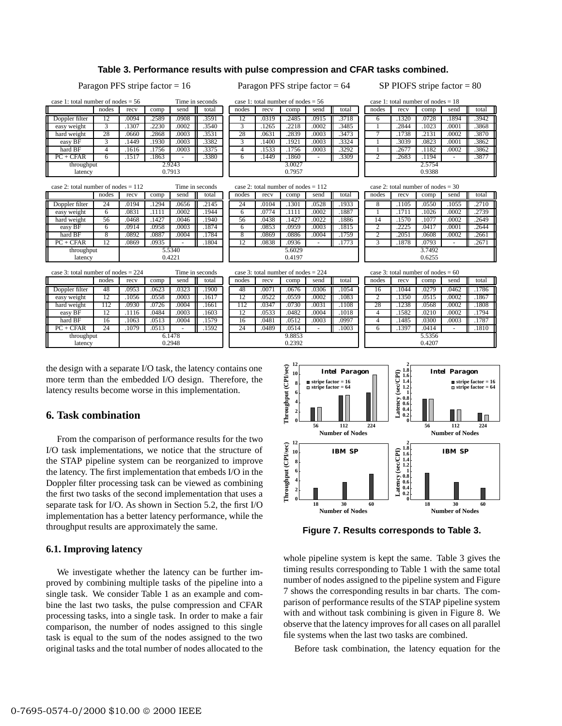#### **Table 3. Performance results with pulse compression and CFAR tasks combined.**

Paragon PFS stripe factor = 16

Paragon PFS stripe factor  $= 64$ 

SP PIOFS stripe factor  $= 80$ 

case  $1:$  total number of nodes  $-18$ 

| case 1: total number of nodes $= 56$ |        | Time in seconds |       |       |       |
|--------------------------------------|--------|-----------------|-------|-------|-------|
|                                      | nodes  | recy            | comp  | send  | total |
| Doppler filter                       | 12     | .0094           | .2589 | .0908 | .3591 |
| easy weight                          | 3      | .1307           | .2230 | .0002 | .3540 |
| hard weight                          | 28     | .0660           | .2868 | .0003 | .3531 |
| easy BF                              | 3      | .1449           | .1930 | .0003 | .3382 |
| hard BF                              |        | .1616           | .1756 | .0003 | .3375 |
| $PC + CFAR$                          | 6      | .1517           | .1863 |       | .3380 |
| throughput                           | 2.9243 |                 |       |       |       |
| latency                              |        | 0.7913          |       |       |       |

| case 2: total number of nodes $= 112$ | Time in seconds |       |       |        |       |
|---------------------------------------|-----------------|-------|-------|--------|-------|
|                                       | nodes           | recy  | comp  | send   | total |
| Doppler filter                        | $\overline{24}$ | .0194 | .1294 | .0656  | .2145 |
| easy weight                           | 6               | .0831 | .1111 | .0002  | .1944 |
| hard weight                           | 56              | .0468 | .1427 | .0046  | .1940 |
| easy BF                               | 6               | .0914 | .0958 | .0003  | .1874 |
| hard BF                               | 8               | .0892 | .0887 | .0004  | .1784 |
| $PC + CFAR$                           | 12              | .0869 | .0935 |        | .1804 |
| throughput                            |                 |       |       | 5.5340 |       |
| latency                               |                 |       |       | 0.4221 |       |

case 1: total number of nodes  $= 56$ nodes recy comp send total 12 .0319 .2485 .0915 .3718 3 .1265 .2218 .0002 .3485<br>28 .0631 .2839 .0003 .3473 0631 .2839 .0003 .3473<br>1400 1921 0003 3324 3 .1400 .1921 .0003<br>4 .1533 .1756 .0003 4 .1533 .1756 .0003 .3292 1449 .1860 - .13309 3.0027

| case 2: total number of nodes $= 112$ |        |        |       |       |  |  |  |  |
|---------------------------------------|--------|--------|-------|-------|--|--|--|--|
| nodes                                 | recy   | comp   | send  | total |  |  |  |  |
| 24                                    | .0104  | .1301  | .0528 | .1933 |  |  |  |  |
| 6                                     | .0774  | .1111  | .0002 | .1887 |  |  |  |  |
| 56                                    | .0438  | .1427  | .0022 | .1886 |  |  |  |  |
| 6                                     | .0853  | .0959  | .0003 | .1815 |  |  |  |  |
| 8                                     | .0869  | .0886  | .0004 | .1759 |  |  |  |  |
| 12.                                   | .0838  | .0936  |       | .1773 |  |  |  |  |
|                                       | 5.6029 |        |       |       |  |  |  |  |
|                                       |        | 0.4197 |       |       |  |  |  |  |

case 3: total number of nodes = 224 nodes recv comp send

| 3.0027        |                    |       |                 |      |
|---------------|--------------------|-------|-----------------|------|
| 0.7957        |                    |       |                 |      |
|               |                    |       |                 |      |
|               | r of nodes $= 112$ |       | case 2: total n |      |
| comp          | send               | total | nodes           | rec  |
| .1301         | .0528              | .1933 |                 | .110 |
| $.111\bar{1}$ | .0002              | .1887 |                 | .17  |
| .1427         | .0022              | .1886 | 14              | .15' |
| .0959         | .0003              | .1815 | 2               | .221 |
|               |                    |       |                 |      |

| nodes                    | recv  | comp   | send  | total |  |  |  |  |
|--------------------------|-------|--------|-------|-------|--|--|--|--|
| 6                        | .1320 | .0728  | .1894 | .3942 |  |  |  |  |
|                          | .2844 | .1023  | .0001 | .3868 |  |  |  |  |
|                          | .1738 | .2131  | .0002 | .3870 |  |  |  |  |
|                          | .3039 | .0823  | .0001 | .3862 |  |  |  |  |
|                          | .2677 | .1182  | .0002 | .3862 |  |  |  |  |
| $\overline{\mathcal{L}}$ | .2683 | .1194  |       | .3877 |  |  |  |  |
| 2.5754                   |       |        |       |       |  |  |  |  |
|                          |       | 0.9388 |       |       |  |  |  |  |

| case 2: total number of nodes $=$ 30 |        |        |       |       |  |  |  |  |  |
|--------------------------------------|--------|--------|-------|-------|--|--|--|--|--|
| nodes                                | recv   | comp   | send  | total |  |  |  |  |  |
| o                                    | .1105  | .0550  | .1055 | .2710 |  |  |  |  |  |
|                                      | .1711  | .1026  | .0002 | .2739 |  |  |  |  |  |
| 14                                   | .1570  | .1077  | .0002 | .2649 |  |  |  |  |  |
| $\mathfrak{D}$                       | .2225  | .0417  | .0001 | .2644 |  |  |  |  |  |
| $\overline{\mathcal{L}}$             | .2051  | .0608  | .0002 | .2661 |  |  |  |  |  |
| κ                                    | .1878  | .0793  |       | .2671 |  |  |  |  |  |
|                                      | 3.7492 |        |       |       |  |  |  |  |  |
|                                      |        | 0.6255 |       |       |  |  |  |  |  |

| ase 3: total number of nodes $= 224$ |       |        |       |       |       | case 3: total number of nodes $= 60$ |        |       |       |
|--------------------------------------|-------|--------|-------|-------|-------|--------------------------------------|--------|-------|-------|
| odes                                 | recv  | comp   | send  | total | nodes | recy                                 | comp   | send  | total |
| 48                                   | .0071 | .0676  | .0306 | 1054  | 16    | .1044                                | .0279  | .0462 | .1786 |
| 12                                   | .0522 | .0559  | .0002 | .1083 |       | .1350                                | .0515  | .0002 | .1867 |
| 112                                  | .0347 | .0730  | .0031 | .1108 | 28    | .1238                                | .0568  | .0002 | .1808 |
| 12                                   | .0533 | .0482  | .0004 | .1018 |       | .1582                                | .0210  | .0002 | .1794 |
| 16                                   | .0481 | .0512  | .0003 | .0997 |       | .1485                                | .0300  | .0003 | .1787 |
| 24                                   | .0489 | .0514  |       | .1003 |       | .1397                                | .0414  | -     | .1810 |
|                                      |       | 9.8853 |       |       |       |                                      | 5.5356 |       |       |
|                                      |       | 0.2392 |       |       |       |                                      | 0.4207 |       |       |

case 3: total number of nodes  $= 224$  Time in seconds nodes recv comp send total Doppler filter 48 .0953 .0623 .0323 .0323 easy weight 12 .1056 .0558 .0003 .1617 hard weight 112 .0930 .0726 .0004 .1661 easy BF 12 .1116 .0484 .0003 .1603<br>hard BF 16 .1063 .0513 .0004 .1579 hard BF 16 .1063 .0513 .0004 .1579  $PC + CFAR$  24 .1079 .0513 - .1592 throughput 6.1478 latency 0.2948

the design with a separate I/O task, the latency contains one more term than the embedded I/O design. Therefore, the

latency results become worse in this implementation.

# **6. Task combination**

From the comparison of performance results for the two I/O task implementations, we notice that the structure of the STAP pipeline system can be reorganized to improve the latency. The first implementation that embeds I/O in the Doppler filter processing task can be viewed as combining the first two tasks of the second implementation that uses a separate task for I/O. As shown in Section 5.2, the first I/O implementation has a better latency performance, while the throughput results are approximately the same.

#### **6.1. Improving latency**

We investigate whether the latency can be further improved by combining multiple tasks of the pipeline into a single task. We consider Table 1 as an example and combine the last two tasks, the pulse compression and CFAR processing tasks, into a single task. In order to make a fair comparison, the number of nodes assigned to this single task is equal to the sum of the nodes assigned to the two original tasks and the total number of nodes allocated to the



**Figure 7. Results corresponds to Table 3.**

whole pipeline system is kept the same. Table 3 gives the timing results corresponding to Table 1 with the same total number of nodes assigned to the pipeline system and Figure 7 shows the corresponding results in bar charts. The comparison of performance results of the STAP pipeline system with and without task combining is given in Figure 8. We observe that the latency improves for all cases on all parallel file systems when the last two tasks are combined.

Before task combination, the latency equation for the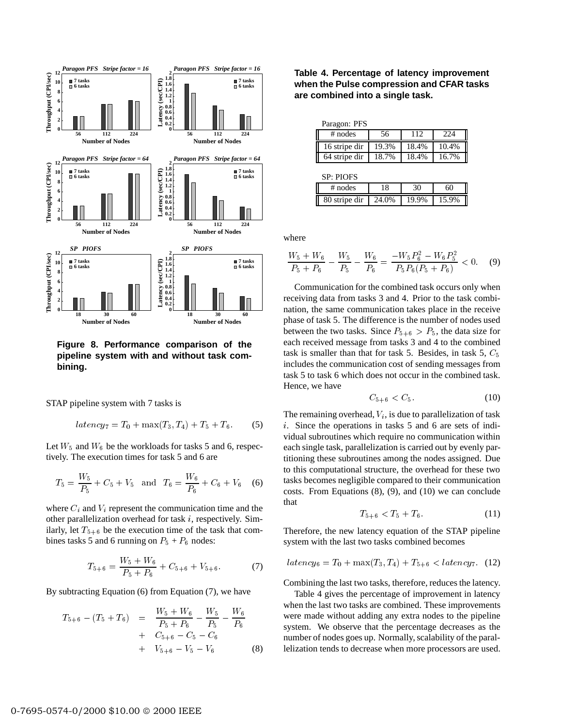

**Figure 8. Performance comparison of the pipeline system with and without task combining.**

STAP pipeline system with 7 tasks is

$$
latency7 = T0 + max(T3, T4) + T5 + T6.
$$
 (5)

Let  $W_5$  and  $W_6$  be the workloads for tasks 5 and 6, respectively. The execution times for task 5 and 6 are

$$
T_5 = \frac{W_5}{P_5} + C_5 + V_5 \text{ and } T_6 = \frac{W_6}{P_6} + C_6 + V_6 \quad (6)
$$

where  $C_i$  and  $V_i$  represent the communication time and the other parallelization overhead for task <sup>i</sup>, respectively. Similarly, let  $T_{5+6}$  be the execution time of the task that combines tasks 5 and 6 running on  $P_5 + P_6$  nodes:

$$
T_{5+6} = \frac{W_5 + W_6}{P_5 + P_6} + C_{5+6} + V_{5+6}.
$$
 (7)

By subtracting Equation (6) from Equation (7), we have

$$
T_{5+6} - (T_5 + T_6) = \frac{W_5 + W_6}{P_5 + P_6} - \frac{W_5}{P_5} - \frac{W_6}{P_6} + C_{5+6} - C_5 - C_6 + V_{5+6} - V_5 - V_6
$$
 (8)

### **Table 4. Percentage of latency improvement when the Pulse compression and CFAR tasks are combined into a single task.**

| Paragon: PFS  |       |       |       |
|---------------|-------|-------|-------|
| $#$ nodes     | 56    | 112   | 224   |
| 16 stripe dir | 19.3% | 18.4% | 10.4% |
| 64 stripe dir | 18.7% | 18.4% | 16.7% |

| <b>SP: PIOFS</b> |       |       |       |
|------------------|-------|-------|-------|
| $#$ nodes        | 18    |       | 60    |
| 80 stripe dir    | 24.0% | 19.9% | 15.9% |

where

L

$$
\frac{W_5 + W_6}{P_5 + P_6} - \frac{W_5}{P_5} - \frac{W_6}{P_6} = \frac{-W_5 P_6^2 - W_6 P_5^2}{P_5 P_6 (P_5 + P_6)} < 0. \tag{9}
$$

Communication for the combined task occurs only when receiving data from tasks 3 and 4. Prior to the task combination, the same communication takes place in the receive phase of task 5. The difference is the number of nodes used between the two tasks. Since  $P_{5+6} > P_5$ , the data size for each received message from tasks 3 and 4 to the combined task is smaller than that for task 5. Besides, in task 5,  $C_5$ includes the communication cost of sending messages from task 5 to task 6 which does not occur in the combined task. Hence, we have

$$
C_{5+6} < C_5. \tag{10}
$$

The remaining overhead,  $V_i$ , is due to parallelization of task i. Since the operations in tasks 5 and 6 are sets of individual subroutines which require no communication within each single task, parallelization is carried out by evenly partitioning these subroutines among the nodes assigned. Due to this computational structure, the overhead for these two tasks becomes negligible compared to their communication costs. From Equations (8), (9), and (10) we can conclude that

$$
T_{5+6} < T_5 + T_6. \tag{11}
$$

Therefore, the new latency equation of the STAP pipeline system with the last two tasks combined becomes

$$
latency_6 = T_0 + \max(T_3, T_4) + T_{5+6} < latency_7. \tag{12}
$$

Combining the last two tasks, therefore, reduces the latency.

Table 4 gives the percentage of improvement in latency when the last two tasks are combined. These improvements were made without adding any extra nodes to the pipeline system. We observe that the percentage decreases as the number of nodes goes up. Normally, scalability of the parallelization tends to decrease when more processors are used.